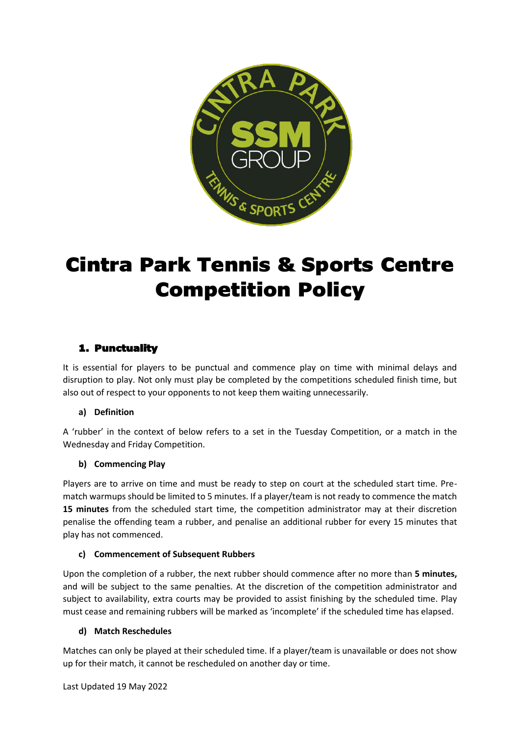

# Cintra Park Tennis & Sports Centre Competition Policy

# 1. Punctuality

It is essential for players to be punctual and commence play on time with minimal delays and disruption to play. Not only must play be completed by the competitions scheduled finish time, but also out of respect to your opponents to not keep them waiting unnecessarily.

## **a) Definition**

A 'rubber' in the context of below refers to a set in the Tuesday Competition, or a match in the Wednesday and Friday Competition.

## **b) Commencing Play**

Players are to arrive on time and must be ready to step on court at the scheduled start time. Prematch warmups should be limited to 5 minutes. If a player/team is not ready to commence the match **15 minutes** from the scheduled start time, the competition administrator may at their discretion penalise the offending team a rubber, and penalise an additional rubber for every 15 minutes that play has not commenced.

## **c) Commencement of Subsequent Rubbers**

Upon the completion of a rubber, the next rubber should commence after no more than **5 minutes,**  and will be subject to the same penalties. At the discretion of the competition administrator and subject to availability, extra courts may be provided to assist finishing by the scheduled time. Play must cease and remaining rubbers will be marked as 'incomplete' if the scheduled time has elapsed.

## **d) Match Reschedules**

Matches can only be played at their scheduled time. If a player/team is unavailable or does not show up for their match, it cannot be rescheduled on another day or time.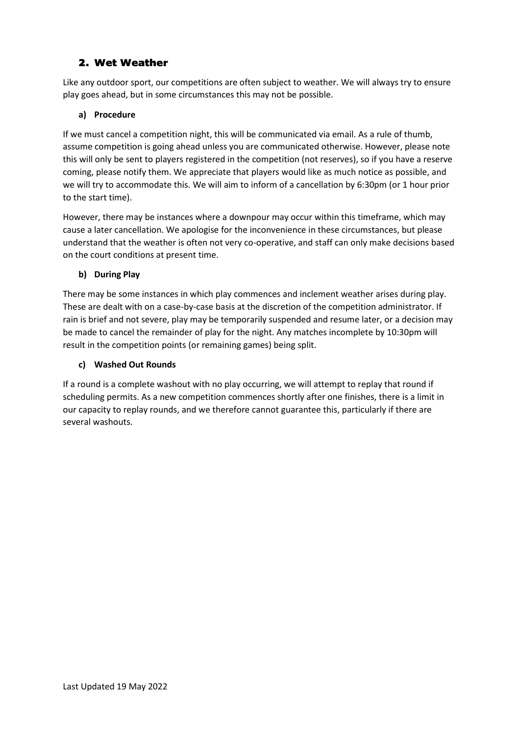## 2. Wet Weather

Like any outdoor sport, our competitions are often subject to weather. We will always try to ensure play goes ahead, but in some circumstances this may not be possible.

## **a) Procedure**

If we must cancel a competition night, this will be communicated via email. As a rule of thumb, assume competition is going ahead unless you are communicated otherwise. However, please note this will only be sent to players registered in the competition (not reserves), so if you have a reserve coming, please notify them. We appreciate that players would like as much notice as possible, and we will try to accommodate this. We will aim to inform of a cancellation by 6:30pm (or 1 hour prior to the start time).

However, there may be instances where a downpour may occur within this timeframe, which may cause a later cancellation. We apologise for the inconvenience in these circumstances, but please understand that the weather is often not very co-operative, and staff can only make decisions based on the court conditions at present time.

## **b) During Play**

There may be some instances in which play commences and inclement weather arises during play. These are dealt with on a case-by-case basis at the discretion of the competition administrator. If rain is brief and not severe, play may be temporarily suspended and resume later, or a decision may be made to cancel the remainder of play for the night. Any matches incomplete by 10:30pm will result in the competition points (or remaining games) being split.

## **c) Washed Out Rounds**

If a round is a complete washout with no play occurring, we will attempt to replay that round if scheduling permits. As a new competition commences shortly after one finishes, there is a limit in our capacity to replay rounds, and we therefore cannot guarantee this, particularly if there are several washouts.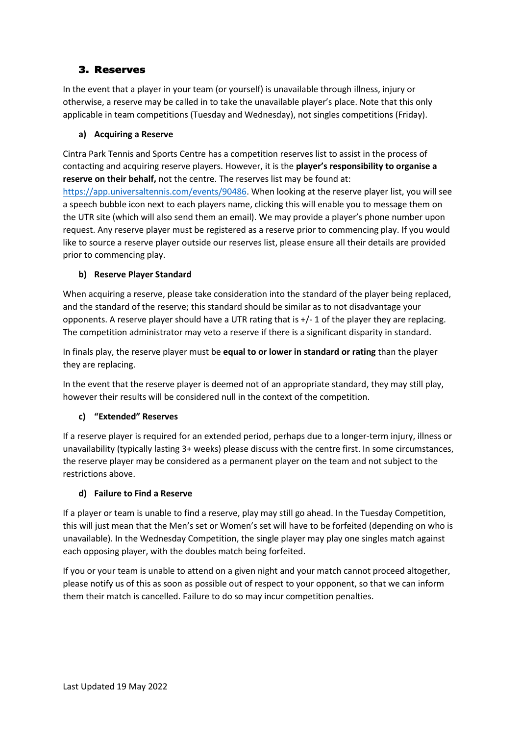## 3. Reserves

In the event that a player in your team (or yourself) is unavailable through illness, injury or otherwise, a reserve may be called in to take the unavailable player's place. Note that this only applicable in team competitions (Tuesday and Wednesday), not singles competitions (Friday).

## **a) Acquiring a Reserve**

Cintra Park Tennis and Sports Centre has a competition reserves list to assist in the process of contacting and acquiring reserve players. However, it is the **player's responsibility to organise a reserve on their behalf,** not the centre. The reserves list may be found at:

[https://app.universaltennis.com/events/90486.](https://app.universaltennis.com/events/90486) When looking at the reserve player list, you will see a speech bubble icon next to each players name, clicking this will enable you to message them on the UTR site (which will also send them an email). We may provide a player's phone number upon request. Any reserve player must be registered as a reserve prior to commencing play. If you would like to source a reserve player outside our reserves list, please ensure all their details are provided prior to commencing play.

## **b) Reserve Player Standard**

When acquiring a reserve, please take consideration into the standard of the player being replaced, and the standard of the reserve; this standard should be similar as to not disadvantage your opponents. A reserve player should have a UTR rating that is +/- 1 of the player they are replacing. The competition administrator may veto a reserve if there is a significant disparity in standard.

In finals play, the reserve player must be **equal to or lower in standard or rating** than the player they are replacing.

In the event that the reserve player is deemed not of an appropriate standard, they may still play, however their results will be considered null in the context of the competition.

## **c) "Extended" Reserves**

If a reserve player is required for an extended period, perhaps due to a longer-term injury, illness or unavailability (typically lasting 3+ weeks) please discuss with the centre first. In some circumstances, the reserve player may be considered as a permanent player on the team and not subject to the restrictions above.

## **d) Failure to Find a Reserve**

If a player or team is unable to find a reserve, play may still go ahead. In the Tuesday Competition, this will just mean that the Men's set or Women's set will have to be forfeited (depending on who is unavailable). In the Wednesday Competition, the single player may play one singles match against each opposing player, with the doubles match being forfeited.

If you or your team is unable to attend on a given night and your match cannot proceed altogether, please notify us of this as soon as possible out of respect to your opponent, so that we can inform them their match is cancelled. Failure to do so may incur competition penalties.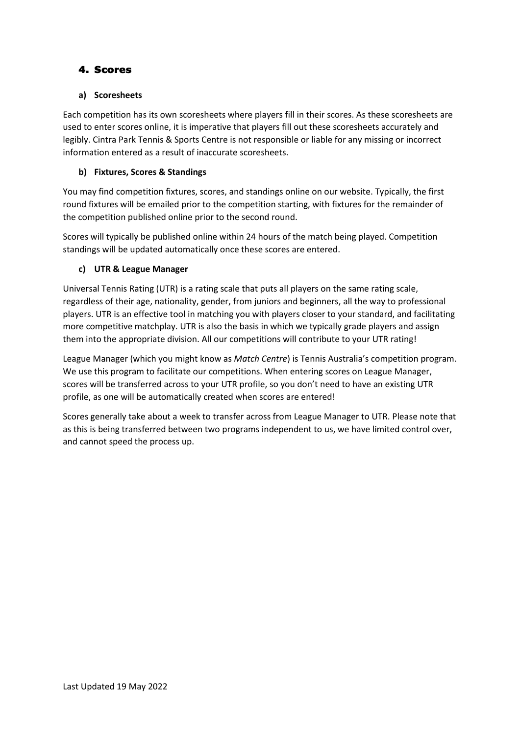## 4. Scores

## **a) Scoresheets**

Each competition has its own scoresheets where players fill in their scores. As these scoresheets are used to enter scores online, it is imperative that players fill out these scoresheets accurately and legibly. Cintra Park Tennis & Sports Centre is not responsible or liable for any missing or incorrect information entered as a result of inaccurate scoresheets.

## **b) Fixtures, Scores & Standings**

You may find competition fixtures, scores, and standings online on our website. Typically, the first round fixtures will be emailed prior to the competition starting, with fixtures for the remainder of the competition published online prior to the second round.

Scores will typically be published online within 24 hours of the match being played. Competition standings will be updated automatically once these scores are entered.

## **c) UTR & League Manager**

Universal Tennis Rating (UTR) is a rating scale that puts all players on the same rating scale, regardless of their age, nationality, gender, from juniors and beginners, all the way to professional players. UTR is an effective tool in matching you with players closer to your standard, and facilitating more competitive matchplay. UTR is also the basis in which we typically grade players and assign them into the appropriate division. All our competitions will contribute to your UTR rating!

League Manager (which you might know as *Match Centre*) is Tennis Australia's competition program. We use this program to facilitate our competitions. When entering scores on League Manager, scores will be transferred across to your UTR profile, so you don't need to have an existing UTR profile, as one will be automatically created when scores are entered!

Scores generally take about a week to transfer across from League Manager to UTR. Please note that as this is being transferred between two programs independent to us, we have limited control over, and cannot speed the process up.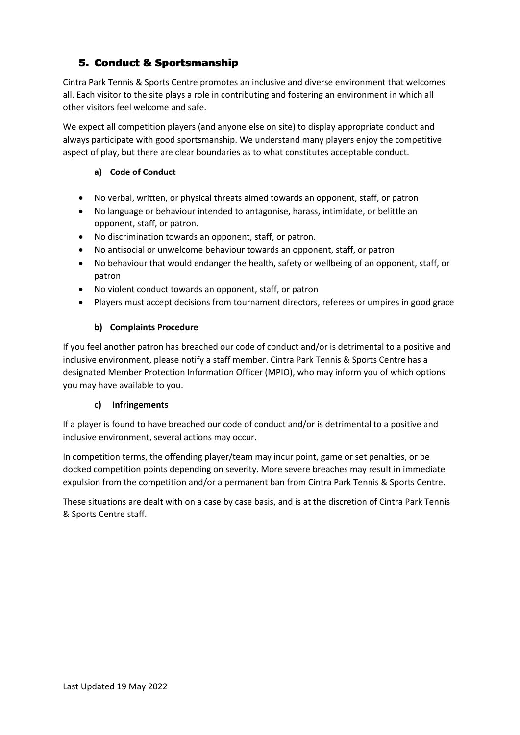# 5. Conduct & Sportsmanship

Cintra Park Tennis & Sports Centre promotes an inclusive and diverse environment that welcomes all. Each visitor to the site plays a role in contributing and fostering an environment in which all other visitors feel welcome and safe.

We expect all competition players (and anyone else on site) to display appropriate conduct and always participate with good sportsmanship. We understand many players enjoy the competitive aspect of play, but there are clear boundaries as to what constitutes acceptable conduct.

## **a) Code of Conduct**

- No verbal, written, or physical threats aimed towards an opponent, staff, or patron
- No language or behaviour intended to antagonise, harass, intimidate, or belittle an opponent, staff, or patron.
- No discrimination towards an opponent, staff, or patron.
- No antisocial or unwelcome behaviour towards an opponent, staff, or patron
- No behaviour that would endanger the health, safety or wellbeing of an opponent, staff, or patron
- No violent conduct towards an opponent, staff, or patron
- Players must accept decisions from tournament directors, referees or umpires in good grace

## **b) Complaints Procedure**

If you feel another patron has breached our code of conduct and/or is detrimental to a positive and inclusive environment, please notify a staff member. Cintra Park Tennis & Sports Centre has a designated Member Protection Information Officer (MPIO), who may inform you of which options you may have available to you.

## **c) Infringements**

If a player is found to have breached our code of conduct and/or is detrimental to a positive and inclusive environment, several actions may occur.

In competition terms, the offending player/team may incur point, game or set penalties, or be docked competition points depending on severity. More severe breaches may result in immediate expulsion from the competition and/or a permanent ban from Cintra Park Tennis & Sports Centre.

These situations are dealt with on a case by case basis, and is at the discretion of Cintra Park Tennis & Sports Centre staff.